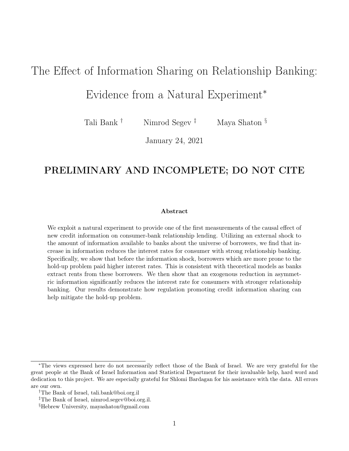# <span id="page-0-0"></span>The Effect of Information Sharing on Relationship Banking:

# Evidence from a Natural Experiment<sup>∗</sup>

Tali Bank <sup>†</sup> Nimrod Segev<sup>‡</sup> Maya Shaton §

January 24, 2021

## PRELIMINARY AND INCOMPLETE; DO NOT CITE

#### Abstract

We exploit a natural experiment to provide one of the first measurements of the causal effect of new credit information on consumer-bank relationship lending. Utilizing an external shock to the amount of information available to banks about the universe of borrowers, we find that increase in information reduces the interest rates for consumer with strong relationship banking. Specifically, we show that before the information shock, borrowers which are more prone to the hold-up problem paid higher interest rates. This is consistent with theoretical models as banks extract rents from these borrowers. We then show that an exogenous reduction in asymmetric information significantly reduces the interest rate for consumers with stronger relationship banking. Our results demonstrate how regulation promoting credit information sharing can help mitigate the hold-up problem.

<sup>∗</sup>The views expressed here do not necessarily reflect those of the Bank of Israel. We are very grateful for the great people at the Bank of Israel Information and Statistical Department for their invaluable help, hard word and dedication to this project. We are especially grateful for Shlomi Bardagan for his assistance with the data. All errors are our own.

<sup>†</sup>The Bank of Israel, tali.bank@boi.org.il

<sup>‡</sup>The Bank of Israel, nimrod.segev@boi.org.il.

<sup>§</sup>Hebrew University, mayashaton@gmail.com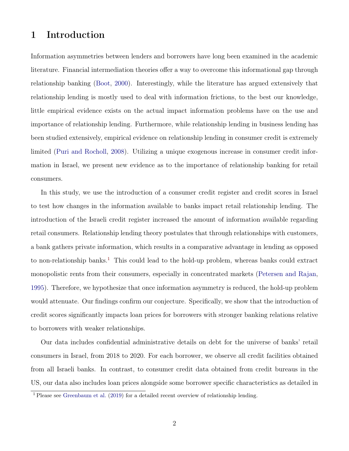## 1 Introduction

Information asymmetries between lenders and borrowers have long been examined in the academic literature. Financial intermediation theories offer a way to overcome this informational gap through relationship banking [\(Boot,](#page-21-0) [2000\)](#page-21-0). Interestingly, while the literature has argued extensively that relationship lending is mostly used to deal with information frictions, to the best our knowledge, little empirical evidence exists on the actual impact information problems have on the use and importance of relationship lending. Furthermore, while relationship lending in business lending has been studied extensively, empirical evidence on relationship lending in consumer credit is extremely limited [\(Puri and Rocholl,](#page-23-0) [2008\)](#page-23-0). Utilizing a unique exogenous increase in consumer credit information in Israel, we present new evidence as to the importance of relationship banking for retail consumers.

In this study, we use the introduction of a consumer credit register and credit scores in Israel to test how changes in the information available to banks impact retail relationship lending. The introduction of the Israeli credit register increased the amount of information available regarding retail consumers. Relationship lending theory postulates that through relationships with customers, a bank gathers private information, which results in a comparative advantage in lending as opposed to non-relationship banks.<sup>[1](#page-0-0)</sup> This could lead to the hold-up problem, whereas banks could extract monopolistic rents from their consumers, especially in concentrated markets [\(Petersen and Rajan,](#page-23-1) [1995\)](#page-23-1). Therefore, we hypothesize that once information asymmetry is reduced, the hold-up problem would attenuate. Our findings confirm our conjecture. Specifically, we show that the introduction of credit scores significantly impacts loan prices for borrowers with stronger banking relations relative to borrowers with weaker relationships.

Our data includes confidential administrative details on debt for the universe of banks' retail consumers in Israel, from 2018 to 2020. For each borrower, we observe all credit facilities obtained from all Israeli banks. In contrast, to consumer credit data obtained from credit bureaus in the US, our data also includes loan prices alongside some borrower specific characteristics as detailed in

<sup>1</sup> Please see [Greenbaum et al.](#page-22-0) [\(2019\)](#page-22-0) for a detailed recent overview of relationship lending.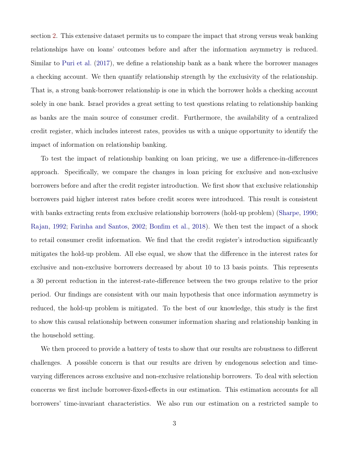section [2.](#page-5-0) This extensive dataset permits us to compare the impact that strong versus weak banking relationships have on loans' outcomes before and after the information asymmetry is reduced. Similar to [Puri et al.](#page-23-2) [\(2017\)](#page-23-2), we define a relationship bank as a bank where the borrower manages a checking account. We then quantify relationship strength by the exclusivity of the relationship. That is, a strong bank-borrower relationship is one in which the borrower holds a checking account solely in one bank. Israel provides a great setting to test questions relating to relationship banking as banks are the main source of consumer credit. Furthermore, the availability of a centralized credit register, which includes interest rates, provides us with a unique opportunity to identify the impact of information on relationship banking.

To test the impact of relationship banking on loan pricing, we use a difference-in-differences approach. Specifically, we compare the changes in loan pricing for exclusive and non-exclusive borrowers before and after the credit register introduction. We first show that exclusive relationship borrowers paid higher interest rates before credit scores were introduced. This result is consistent with banks extracting rents from exclusive relationship borrowers (hold-up problem) [\(Sharpe,](#page-23-3) [1990;](#page-23-3) [Rajan,](#page-23-4) [1992;](#page-23-4) [Farinha and Santos,](#page-22-1) [2002;](#page-22-1) [Bonfim et al.,](#page-21-1) [2018\)](#page-21-1). We then test the impact of a shock to retail consumer credit information. We find that the credit register's introduction significantly mitigates the hold-up problem. All else equal, we show that the difference in the interest rates for exclusive and non-exclusive borrowers decreased by about 10 to 13 basis points. This represents a 30 percent reduction in the interest-rate-difference between the two groups relative to the prior period. Our findings are consistent with our main hypothesis that once information asymmetry is reduced, the hold-up problem is mitigated. To the best of our knowledge, this study is the first to show this causal relationship between consumer information sharing and relationship banking in the household setting.

We then proceed to provide a battery of tests to show that our results are robustness to different challenges. A possible concern is that our results are driven by endogenous selection and timevarying differences across exclusive and non-exclusive relationship borrowers. To deal with selection concerns we first include borrower-fixed-effects in our estimation. This estimation accounts for all borrowers' time-invariant characteristics. We also run our estimation on a restricted sample to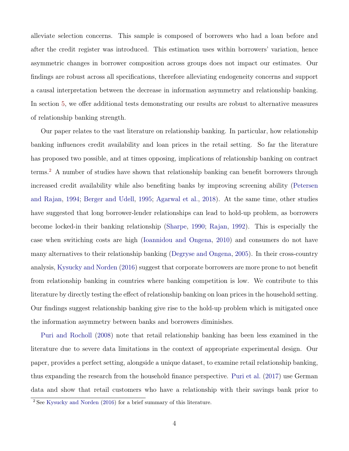alleviate selection concerns. This sample is composed of borrowers who had a loan before and after the credit register was introduced. This estimation uses within borrowers' variation, hence asymmetric changes in borrower composition across groups does not impact our estimates. Our findings are robust across all specifications, therefore alleviating endogeneity concerns and support a causal interpretation between the decrease in information asymmetry and relationship banking. In section [5,](#page-17-0) we offer additional tests demonstrating our results are robust to alternative measures of relationship banking strength.

Our paper relates to the vast literature on relationship banking. In particular, how relationship banking influences credit availability and loan prices in the retail setting. So far the literature has proposed two possible, and at times opposing, implications of relationship banking on contract terms.[2](#page-0-0) A number of studies have shown that relationship banking can benefit borrowers through increased credit availability while also benefiting banks by improving screening ability ([Petersen](#page-23-5) [and Rajan,](#page-23-5) [1994;](#page-23-5) [Berger and Udell,](#page-21-2) [1995;](#page-21-2) [Agarwal et al.,](#page-21-3) [2018\)](#page-21-3). At the same time, other studies have suggested that long borrower-lender relationships can lead to hold-up problem, as borrowers become locked-in their banking relationship [\(Sharpe,](#page-23-3) [1990;](#page-23-3) [Rajan,](#page-23-4) [1992\)](#page-23-4). This is especially the case when switiching costs are high [\(Ioannidou and Ongena,](#page-22-2) [2010\)](#page-22-2) and consumers do not have many alternatives to their relationship banking [\(Degryse and Ongena,](#page-22-3) [2005\)](#page-22-3). In their cross-country analysis, [Kysucky and Norden](#page-22-4) [\(2016\)](#page-22-4) suggest that corporate borrowers are more prone to not benefit from relationship banking in countries where banking competition is low. We contribute to this literature by directly testing the effect of relationship banking on loan prices in the household setting. Our findings suggest relationship banking give rise to the hold-up problem which is mitigated once the information asymmetry between banks and borrowers diminishes.

[Puri and Rocholl](#page-23-0) [\(2008\)](#page-23-0) note that retail relationship banking has been less examined in the literature due to severe data limitations in the context of appropriate experimental design. Our paper, provides a perfect setting, alongside a unique dataset, to examine retail relationship banking, thus expanding the research from the household finance perspective. [Puri et al.](#page-23-2) [\(2017\)](#page-23-2) use German data and show that retail customers who have a relationship with their savings bank prior to

<sup>2</sup> See [Kysucky and Norden](#page-22-4) [\(2016\)](#page-22-4) for a brief summary of this literature.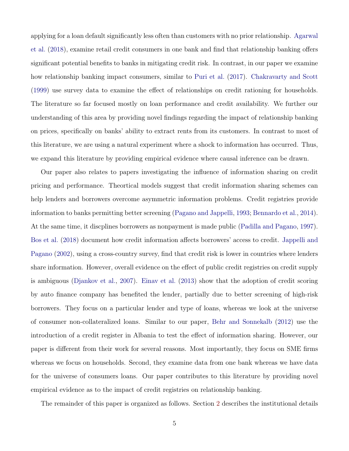applying for a loan default significantly less often than customers with no prior relationship. [Agarwal](#page-21-3) [et al.](#page-21-3) [\(2018\)](#page-21-3), examine retail credit consumers in one bank and find that relationship banking offers significant potential benefits to banks in mitigating credit risk. In contrast, in our paper we examine how relationship banking impact consumers, similar to [Puri et al.](#page-23-2) [\(2017\)](#page-23-2). [Chakravarty and Scott](#page-22-5) [\(1999\)](#page-22-5) use survey data to examine the effect of relationships on credit rationing for households. The literature so far focused mostly on loan performance and credit availability. We further our understanding of this area by providing novel findings regarding the impact of relationship banking on prices, specifically on banks' ability to extract rents from its customers. In contrast to most of this literature, we are using a natural experiment where a shock to information has occurred. Thus, we expand this literature by providing empirical evidence where causal inference can be drawn.

Our paper also relates to papers investigating the influence of information sharing on credit pricing and performance. Theortical models suggest that credit information sharing schemes can help lenders and borrowers overcome asymmetric information problems. Credit registries provide information to banks permitting better screening [\(Pagano and Jappelli,](#page-23-6) [1993;](#page-23-6) [Bennardo et al.,](#page-21-4) [2014\)](#page-21-4). At the same time, it discplines borrowers as nonpayment is made public [\(Padilla and Pagano,](#page-23-7) [1997\)](#page-23-7). [Bos et al.](#page-21-5) [\(2018\)](#page-21-5) document how credit information affects borrowers' access to credit. [Jappelli and](#page-22-6) [Pagano](#page-22-6) [\(2002\)](#page-22-6), using a cross-country survey, find that credit risk is lower in countries where lenders share information. However, overall evidence on the effect of public credit registries on credit supply is ambiguous [\(Djankov et al.,](#page-22-7) [2007\)](#page-22-7). [Einav et al.](#page-22-8) [\(2013\)](#page-22-8) show that the adoption of credit scoring by auto finance company has benefited the lender, partially due to better screening of high-risk borrowers. They focus on a particular lender and type of loans, whereas we look at the universe of consumer non-collateralized loans. Similar to our paper, [Behr and Sonnekalb](#page-21-6) [\(2012\)](#page-21-6) use the introduction of a credit register in Albania to test the effect of information sharing. However, our paper is different from their work for several reasons. Most importantly, they focus on SME firms whereas we focus on households. Second, they examine data from one bank whereas we have data for the universe of consumers loans. Our paper contributes to this literature by providing novel empirical evidence as to the impact of credit registries on relationship banking.

The remainder of this paper is organized as follows. Section [2](#page-5-0) describes the institutional details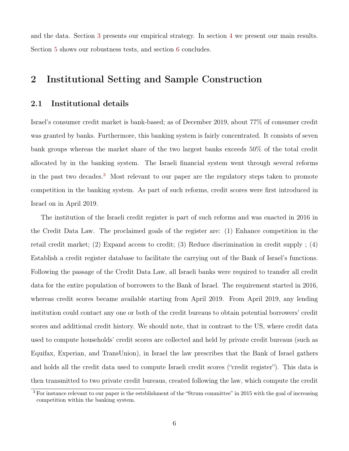and the data. Section [3](#page-10-0) presents our empirical strategy. In section [4](#page-13-0) we present our main results. Section [5](#page-17-0) shows our robustness tests, and section [6](#page-19-0) concludes.

## <span id="page-5-0"></span>2 Institutional Setting and Sample Construction

### 2.1 Institutional details

Israel's consumer credit market is bank-based; as of December 2019, about 77% of consumer credit was granted by banks. Furthermore, this banking system is fairly concentrated. It consists of seven bank groups whereas the market share of the two largest banks exceeds 50% of the total credit allocated by in the banking system. The Israeli financial system went through several reforms in the past two decades.[3](#page-0-0) Most relevant to our paper are the regulatory steps taken to promote competition in the banking system. As part of such reforms, credit scores were first introduced in Israel on in April 2019.

The institution of the Israeli credit register is part of such reforms and was enacted in 2016 in the Credit Data Law. The proclaimed goals of the register are: (1) Enhance competition in the retail credit market; (2) Expand access to credit; (3) Reduce discrimination in credit supply ; (4) Establish a credit register database to facilitate the carrying out of the Bank of Israel's functions. Following the passage of the Credit Data Law, all Israeli banks were required to transfer all credit data for the entire population of borrowers to the Bank of Israel. The requirement started in 2016, whereas credit scores became available starting from April 2019. From April 2019, any lending institution could contact any one or both of the credit bureaus to obtain potential borrowers' credit scores and additional credit history. We should note, that in contrast to the US, where credit data used to compute households' credit scores are collected and held by private credit bureaus (such as Equifax, Experian, and TransUnion), in Israel the law prescribes that the Bank of Israel gathers and holds all the credit data used to compute Israeli credit scores ("credit register"). This data is then transmitted to two private credit bureaus, created following the law, which compute the credit

<sup>3</sup> For instance relevant to our paper is the estsblishment of the "Strum committee" in 2015 with the goal of increasing competition within the banking system.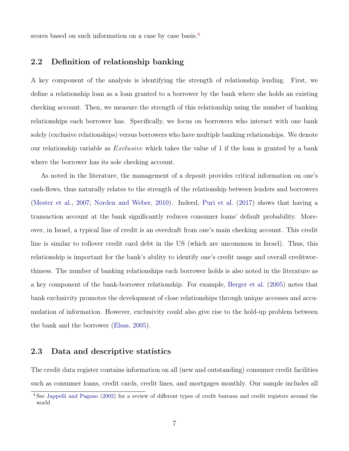scores based on such information on a case by case basis.<sup>[4](#page-0-0)</sup>

### 2.2 Definition of relationship banking

A key component of the analysis is identifying the strength of relationship lending. First, we define a relationship loan as a loan granted to a borrower by the bank where she holds an existing checking account. Then, we measure the strength of this relationship using the number of banking relationships each borrower has. Specifically, we focus on borrowers who interact with one bank solely (exclusive relationships) versus borrowers who have multiple banking relationships. We denote our relationship variable as Exclusive which takes the value of 1 if the loan is granted by a bank where the borrower has its sole checking account.

As noted in the literature, the management of a deposit provides critical information on one's cash-flows, thus naturally relates to the strength of the relationship between lenders and borrowers [\(Mester et al.,](#page-22-9) [2007;](#page-22-9) [Norden and Weber,](#page-23-8) [2010\)](#page-23-8). Indeed, [Puri et al.](#page-23-2) [\(2017\)](#page-23-2) shows that having a transaction account at the bank significantly reduces consumer loans' default probability. Moreover, in Israel, a typical line of credit is an overdraft from one's main checking account. This credit line is similar to rollover credit card debt in the US (which are uncommon in Israel). Thus, this relationship is important for the bank's ability to identify one's credit usage and overall creditworthiness. The number of banking relationships each borrower holds is also noted in the literature as a key component of the bank-borrower relationship. For example, [Berger et al.](#page-21-7) [\(2005\)](#page-21-7) notes that bank exclusivity promotes the development of close relationships through unique accesses and accumulation of information. However, exclusivity could also give rise to the hold-up problem between the bank and the borrower [\(Elsas,](#page-22-10) [2005\)](#page-22-10).

### <span id="page-6-0"></span>2.3 Data and descriptive statistics

The credit data register contains information on all (new and outstanding) consumer credit facilities such as consumer loans, credit cards, credit lines, and mortgages monthly. Our sample includes all

<sup>4</sup> See [Jappelli and Pagano](#page-22-6) [\(2002\)](#page-22-6) for a review of different types of credit bureaus and credit registers around the world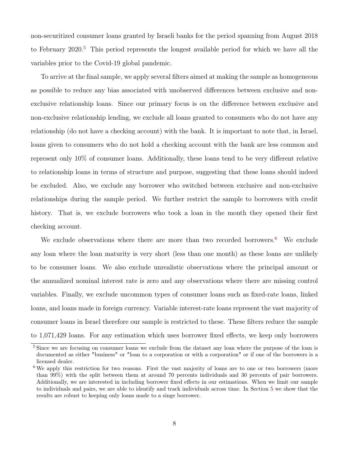non-securitized consumer loans granted by Israeli banks for the period spanning from August 2018 to February  $2020$ <sup>[5](#page-0-0)</sup>. This period represents the longest available period for which we have all the variables prior to the Covid-19 global pandemic.

To arrive at the final sample, we apply several filters aimed at making the sample as homogeneous as possible to reduce any bias associated with unobserved differences between exclusive and nonexclusive relationship loans. Since our primary focus is on the difference between exclusive and non-exclusive relationship lending, we exclude all loans granted to consumers who do not have any relationship (do not have a checking account) with the bank. It is important to note that, in Israel, loans given to consumers who do not hold a checking account with the bank are less common and represent only 10% of consumer loans. Additionally, these loans tend to be very different relative to relationship loans in terms of structure and purpose, suggesting that these loans should indeed be excluded. Also, we exclude any borrower who switched between exclusive and non-exclusive relationships during the sample period. We further restrict the sample to borrowers with credit history. That is, we exclude borrowers who took a loan in the month they opened their first checking account.

We exclude observations where there are more than two recorded borrowers.<sup>[6](#page-0-0)</sup> We exclude any loan where the loan maturity is very short (less than one month) as these loans are unlikely to be consumer loans. We also exclude unrealistic observations where the principal amount or the annualized nominal interest rate is zero and any observations where there are missing control variables. Finally, we exclude uncommon types of consumer loans such as fixed-rate loans, linked loans, and loans made in foreign currency. Variable interest-rate loans represent the vast majority of consumer loans in Israel therefore our sample is restricted to these. These filters reduce the sample to 1,071,429 loans. For any estimation which uses borrower fixed effects, we keep only borrowers

<sup>&</sup>lt;sup>5</sup> Since we are focusing on consumer loans we exclude from the dataset any loan where the purpose of the loan is documented as either "business" or "loan to a corporation or with a corporation" or if one of the borrowers is a licensed dealer.

<sup>&</sup>lt;sup>6</sup>We apply this restriction for two reasons. First the vast majority of loans are to one or two borrowers (more than 99%) with the split between them at around 70 percents individuals and 30 percents of pair borrowers. Additionally, we are interested in including borrower fixed effects in our estimations. When we limit our sample to individuals and pairs, we are able to identify and track individuals across time. In Section [5](#page-17-0) we show that the results are robust to keeping only loans made to a singe borrower.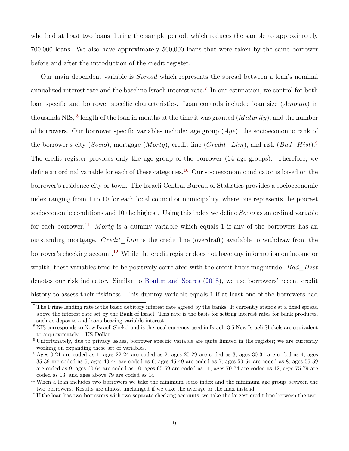who had at least two loans during the sample period, which reduces the sample to approximately 700,000 loans. We also have approximately 500,000 loans that were taken by the same borrower before and after the introduction of the credit register.

Our main dependent variable is Spread which represents the spread between a loan's nominal annualized interest rate and the baseline Israeli interest rate.[7](#page-0-0) In our estimation, we control for both loan specific and borrower specific characteristics. Loan controls include: loan size (Amount) in thousands NIS,  $^8$  $^8$  length of the loan in months at the time it was granted (*Maturity*), and the number of borrowers. Our borrower specific variables include: age group  $(Age)$ , the socioeconomic rank of the borrower's city (Socio), mortgage (Mortq), credit line (Credit Lim), and risk (Bad Hist).<sup>[9](#page-0-0)</sup> The credit register provides only the age group of the borrower (14 age-groups). Therefore, we define an ordinal variable for each of these categories.<sup>[10](#page-0-0)</sup> Our socioeconomic indicator is based on the borrower's residence city or town. The Israeli Central Bureau of Statistics provides a socioeconomic index ranging from 1 to 10 for each local council or municipality, where one represents the poorest socioeconomic conditions and 10 the highest. Using this index we define Socio as an ordinal variable for each borrower.<sup>[11](#page-0-0)</sup> Mortg is a dummy variable which equals 1 if any of the borrowers has an outstanding mortgage. *Credit Lim* is the credit line (overdraft) available to withdraw from the borrower's checking account.<sup>[12](#page-0-0)</sup> While the credit register does not have any information on income or wealth, these variables tend to be positively correlated with the credit line's magnitude. Bad Hist denotes our risk indicator. Similar to [Bonfim and Soares](#page-21-8) [\(2018\)](#page-21-8), we use borrowers' recent credit history to assess their riskiness. This dummy variable equals 1 if at least one of the borrowers had

<sup>&</sup>lt;sup>7</sup> The Prime lending rate is the basic debitory interest rate agreed by the banks. It currently stands at a fixed spread above the interest rate set by the Bank of Israel. This rate is the basis for setting interest rates for bank products, such as deposits and loans bearing variable interest.

<sup>&</sup>lt;sup>8</sup> NIS corresponds to New Israeli Shekel and is the local currency used in Israel. 3.5 New Israeli Shekels are equivalent to approximately 1 US Dollar.

<sup>9</sup> Unfortunately, due to privacy issues, borrower specific variable are quite limited in the register; we are currently working on expanding these set of variables.

 $10$  Ages 0-21 are coded as 1; ages 22-24 are coded as 2; ages 25-29 are coded as 3; ages 30-34 are coded as 4; ages 35-39 are coded as 5; ages 40-44 are coded as 6; ages 45-49 are coded as 7; ages 50-54 are coded as 8; ages 55-59 are coded as 9; ages 60-64 are coded as 10; ages 65-69 are coded as 11; ages 70-74 are coded as 12; ages 75-79 are coded as 13; and ages above 79 are coded as 14

<sup>&</sup>lt;sup>11</sup> When a loan includes two borrowers we take the minimum socio index and the minimum age group between the two borrowers. Results are almost unchanged if we take the average or the max instead.

<sup>&</sup>lt;sup>12</sup> If the loan has two borrowers with two separate checking accounts, we take the largest credit line between the two.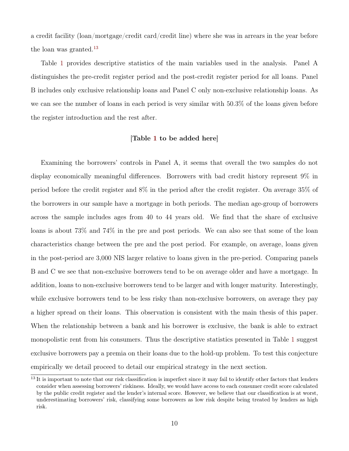a credit facility (loan/mortgage/credit card/credit line) where she was in arrears in the year before the loan was granted.<sup>[13](#page-0-0)</sup>

Table [1](#page-26-0) provides descriptive statistics of the main variables used in the analysis. Panel A distinguishes the pre-credit register period and the post-credit register period for all loans. Panel B includes only exclusive relationship loans and Panel C only non-exclusive relationship loans. As we can see the number of loans in each period is very similar with 50.3% of the loans given before the register introduction and the rest after.

#### [Table [1](#page-26-0) to be added here]

Examining the borrowers' controls in Panel A, it seems that overall the two samples do not display economically meaningful differences. Borrowers with bad credit history represent 9% in period before the credit register and 8% in the period after the credit register. On average 35% of the borrowers in our sample have a mortgage in both periods. The median age-group of borrowers across the sample includes ages from 40 to 44 years old. We find that the share of exclusive loans is about 73% and 74% in the pre and post periods. We can also see that some of the loan characteristics change between the pre and the post period. For example, on average, loans given in the post-period are 3,000 NIS larger relative to loans given in the pre-period. Comparing panels B and C we see that non-exclusive borrowers tend to be on average older and have a mortgage. In addition, loans to non-exclusive borrowers tend to be larger and with longer maturity. Interestingly, while exclusive borrowers tend to be less risky than non-exclusive borrowers, on average they pay a higher spread on their loans. This observation is consistent with the main thesis of this paper. When the relationship between a bank and his borrower is exclusive, the bank is able to extract monopolistic rent from his consumers. Thus the descriptive statistics presented in Table [1](#page-26-0) suggest exclusive borrowers pay a premia on their loans due to the hold-up problem. To test this conjecture empirically we detail proceed to detail our empirical strategy in the next section.

<sup>&</sup>lt;sup>13</sup> It is important to note that our risk classification is imperfect since it may fail to identify other factors that lenders consider when assessing borrowers' riskiness. Ideally, we would have access to each consumer credit score calculated by the public credit register and the lender's internal score. However, we believe that our classification is at worst, underestimating borrowers' risk, classifying some borrowers as low risk despite being treated by lenders as high risk.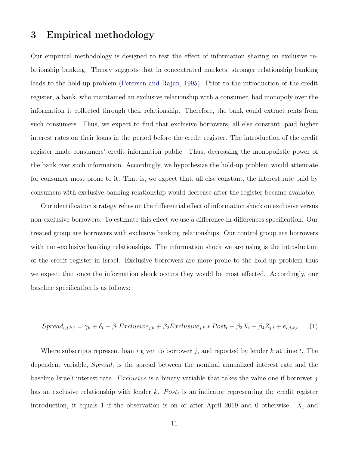### <span id="page-10-0"></span>3 Empirical methodology

Our empirical methodology is designed to test the effect of information sharing on exclusive relationship banking. Theory suggests that in concentrated markets, stronger relationship banking leads to the hold-up problem [\(Petersen and Rajan,](#page-23-1) [1995\)](#page-23-1). Prior to the introduction of the credit register, a bank, who maintained an exclusive relationship with a consumer, had monopoly over the information it collected through their relationship. Therefore, the bank could extract rents from such consumers. Thus, we expect to find that exclusive borrowers, all else constant, paid higher interest rates on their loans in the period before the credit register. The introduction of the credit register made consumers' credit information public. Thus, decreasing the monopolistic power of the bank over such information. Accordingly, we hypothesize the hold-up problem would attenuate for consumer most prone to it. That is, we expect that, all else constant, the interest rate paid by consumers with exclusive banking relationship would decrease after the register became available.

Our identification strategy relies on the differential effect of information shock on exclusive versus non-exclusive borrowers. To estimate this effect we use a difference-in-differences specification. Our treated group are borrowers with exclusive banking relationships. Our control group are borrowers with non-exclusive banking relationships. The information shock we are using is the introduction of the credit register in Israel. Exclusive borrowers are more prone to the hold-up problem thus we expect that once the information shock occurs they would be most effected. Accordingly, our baseline specification is as follows:

<span id="page-10-1"></span>
$$
Spread_{i,j,k,t} = \gamma_k + \delta_t + \beta_1 Exclusive_{j,k} + \beta_2 Exclusive_{j,k} * Post_t + \beta_3 X_i + \beta_4 Z_{j,t} + e_{i,j,k,t} \tag{1}
$$

Where subscripts represent loan i given to borrower j, and reported by lender k at time t. The dependent variable, Spread, is the spread between the nominal annualized interest rate and the baseline Israeli interest rate. Exclusive is a binary variable that takes the value one if borrower j has an exclusive relationship with lender k.  $Post<sub>t</sub>$  is an indicator representing the credit register introduction, it equals 1 if the observation is on or after April 2019 and 0 otherwise.  $X_i$  and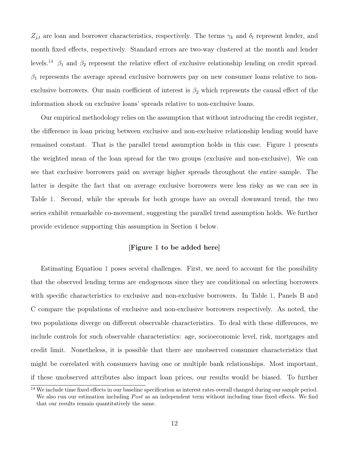$Z_{j,t}$  are loan and borrower characteristics, respectively. The terms  $\gamma_k$  and  $\delta_t$  represent lender, and month fixed effects, respectively. Standard errors are two-way clustered at the month and lender levels.<sup>[14](#page-0-0)</sup>  $\beta_1$  and  $\beta_2$  represent the relative effect of exclusive relationship lending on credit spread.  $\beta_1$  represents the average spread exclusive borrowers pay on new consumer loans relative to nonexclusive borrowers. Our main coefficient of interest is  $\beta_2$  which represents the causal effect of the information shock on exclusive loans' spreads relative to non-exclusive loans.

Our empirical methodology relies on the assumption that without introducing the credit register, the difference in loan pricing between exclusive and non-exclusive relationship lending would have remained constant. That is the parallel trend assumption holds in this case. Figure [1](#page-24-0) presents the weighted mean of the loan spread for the two groups (exclusive and non-exclusive). We can see that exclusive borrowers paid on average higher spreads throughout the entire sample. The latter is despite the fact that on average exclusive borrowers were less risky as we can see in Table [1.](#page-26-0) Second, while the spreads for both groups have an overall downward trend, the two series exhibit remarkable co-movement, suggesting the parallel trend assumption holds. We further provide evidence supporting this assumption in Section [4](#page-13-0) below.

#### [Figure [1](#page-24-0) to be added here]

Estimating Equation [1](#page-10-1) poses several challenges. First, we need to account for the possibility that the observed lending terms are endogenous since they are conditional on selecting borrowers with specific characteristics to exclusive and non-exclusive borrowers. In Table [1,](#page-26-0) Panels B and C compare the populations of exclusive and non-exclusive borrowers respectively. As noted, the two populations diverge on different observable characteristics. To deal with these differences, we include controls for such observable characteristics: age, socioeconomic level, risk, mortgages and credit limit. Nonetheless, it is possible that there are unobserved consumer characteristics that might be correlated with consumers having one or multiple bank relationships. Most important, if these unobserved attributes also impact loan prices, our results would be biased. To further

<sup>&</sup>lt;sup>14</sup> We include time fixed effects in our baseline specification as interest rates overall changed during our sample period. We also run our estimation including *Post* as an independent term without including time fixed effects. We find that our results remain quantitatively the same.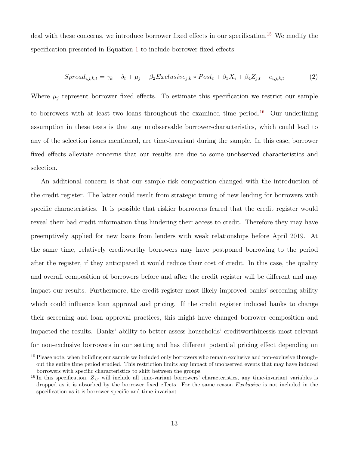deal with these concerns, we introduce borrower fixed effects in our specification.<sup>[15](#page-0-0)</sup> We modify the specification presented in Equation [1](#page-10-1) to include borrower fixed effects:

<span id="page-12-0"></span>
$$
Spread_{i,j,k,t} = \gamma_k + \delta_t + \mu_j + \beta_2 Exclusive_{j,k} * Post_t + \beta_3 X_i + \beta_4 Z_{j,t} + e_{i,j,k,t}
$$
 (2)

Where  $\mu_i$  represent borrower fixed effects. To estimate this specification we restrict our sample to borrowers with at least two loans throughout the examined time period.<sup>[16](#page-0-0)</sup> Our underlining assumption in these tests is that any unobservable borrower-characteristics, which could lead to any of the selection issues mentioned, are time-invariant during the sample. In this case, borrower fixed effects alleviate concerns that our results are due to some unobserved characteristics and selection.

An additional concern is that our sample risk composition changed with the introduction of the credit register. The latter could result from strategic timing of new lending for borrowers with specific characteristics. It is possible that riskier borrowers feared that the credit register would reveal their bad credit information thus hindering their access to credit. Therefore they may have preemptively applied for new loans from lenders with weak relationships before April 2019. At the same time, relatively creditworthy borrowers may have postponed borrowing to the period after the register, if they anticipated it would reduce their cost of credit. In this case, the quality and overall composition of borrowers before and after the credit register will be different and may impact our results. Furthermore, the credit register most likely improved banks' screening ability which could influence loan approval and pricing. If the credit register induced banks to change their screening and loan approval practices, this might have changed borrower composition and impacted the results. Banks' ability to better assess households' creditworthinessis most relevant for non-exclusive borrowers in our setting and has different potential pricing effect depending on

<sup>&</sup>lt;sup>15</sup> Please note, when building our sample we included only borrowers who remain exclusive and non-exclusive throughout the entire time period studied. This restriction limits any impact of unobserved events that may have induced borrowers with specific characteristics to shift between the groups.

<sup>&</sup>lt;sup>16</sup> In this specification,  $Z_{i,t}$  will include all time-variant borrowers' characteristics, any time-invariant variables is dropped as it is absorbed by the borrower fixed effects. For the same reason Exclusive is not included in the specification as it is borrower specific and time invariant.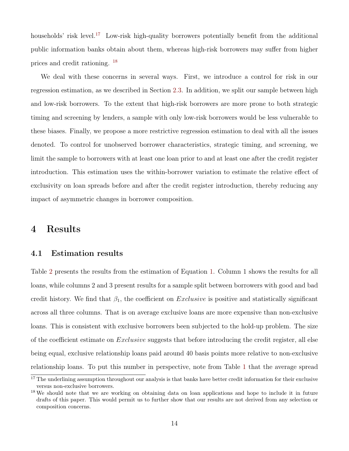households' risk level.<sup>[17](#page-0-0)</sup> Low-risk high-quality borrowers potentially benefit from the additional public information banks obtain about them, whereas high-risk borrowers may suffer from higher prices and credit rationing. [18](#page-0-0)

We deal with these concerns in several ways. First, we introduce a control for risk in our regression estimation, as we described in Section [2.3.](#page-6-0) In addition, we split our sample between high and low-risk borrowers. To the extent that high-risk borrowers are more prone to both strategic timing and screening by lenders, a sample with only low-risk borrowers would be less vulnerable to these biases. Finally, we propose a more restrictive regression estimation to deal with all the issues denoted. To control for unobserved borrower characteristics, strategic timing, and screening, we limit the sample to borrowers with at least one loan prior to and at least one after the credit register introduction. This estimation uses the within-borrower variation to estimate the relative effect of exclusivity on loan spreads before and after the credit register introduction, thereby reducing any impact of asymmetric changes in borrower composition.

### <span id="page-13-0"></span>4 Results

### 4.1 Estimation results

Table [2](#page-27-0) presents the results from the estimation of Equation [1.](#page-10-1) Column 1 shows the results for all loans, while columns 2 and 3 present results for a sample split between borrowers with good and bad credit history. We find that  $\beta_1$ , the coefficient on *Exclusive* is positive and statistically significant across all three columns. That is on average exclusive loans are more expensive than non-exclusive loans. This is consistent with exclusive borrowers been subjected to the hold-up problem. The size of the coefficient estimate on Exclusive suggests that before introducing the credit register, all else being equal, exclusive relationship loans paid around 40 basis points more relative to non-exclusive relationship loans. To put this number in perspective, note from Table [1](#page-26-0) that the average spread

<sup>&</sup>lt;sup>17</sup> The underlining assumption throughout our analysis is that banks have better credit information for their exclusive versus non-exclusive borrowers.

<sup>&</sup>lt;sup>18</sup> We should note that we are working on obtaining data on loan applications and hope to include it in future drafts of this paper. This would permit us to further show that our results are not derived from any selection or composition concerns.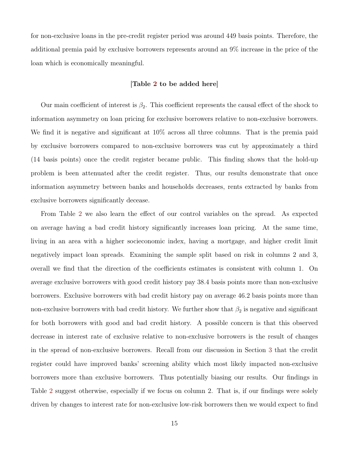for non-exclusive loans in the pre-credit register period was around 449 basis points. Therefore, the additional premia paid by exclusive borrowers represents around an 9% increase in the price of the loan which is economically meaningful.

#### [Table [2](#page-27-0) to be added here]

Our main coefficient of interest is  $\beta_2$ . This coefficient represents the causal effect of the shock to information asymmetry on loan pricing for exclusive borrowers relative to non-exclusive borrowers. We find it is negative and significant at 10% across all three columns. That is the premia paid by exclusive borrowers compared to non-exclusive borrowers was cut by approximately a third (14 basis points) once the credit register became public. This finding shows that the hold-up problem is been attenuated after the credit register. Thus, our results demonstrate that once information asymmetry between banks and households decreases, rents extracted by banks from exclusive borrowers significantly decease.

From Table [2](#page-27-0) we also learn the effect of our control variables on the spread. As expected on average having a bad credit history significantly increases loan pricing. At the same time, living in an area with a higher socieconomic index, having a mortgage, and higher credit limit negatively impact loan spreads. Examining the sample split based on risk in columns 2 and 3, overall we find that the direction of the coefficients estimates is consistent with column 1. On average exclusive borrowers with good credit history pay 38.4 basis points more than non-exclusive borrowers. Exclusive borrowers with bad credit history pay on average 46.2 basis points more than non-exclusive borrowers with bad credit history. We further show that  $\beta_2$  is negative and significant for both borrowers with good and bad credit history. A possible concern is that this observed decrease in interest rate of exclusive relative to non-exclusive borrowers is the result of changes in the spread of non-exclusive borrowers. Recall from our discussion in Section [3](#page-10-0) that the credit register could have improved banks' screening ability which most likely impacted non-exclusive borrowers more than exclusive borrowers. Thus potentially biasing our results. Our findings in Table [2](#page-27-0) suggest otherwise, especially if we focus on column 2. That is, if our findings were solely driven by changes to interest rate for non-exclusive low-risk borrowers then we would expect to find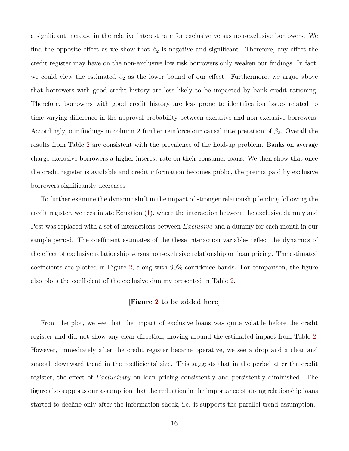a significant increase in the relative interest rate for exclusive versus non-exclusive borrowers. We find the opposite effect as we show that  $\beta_2$  is negative and significant. Therefore, any effect the credit register may have on the non-exclusive low risk borrowers only weaken our findings. In fact, we could view the estimated  $\beta_2$  as the lower bound of our effect. Furthermore, we argue above that borrowers with good credit history are less likely to be impacted by bank credit rationing. Therefore, borrowers with good credit history are less prone to identification issues related to time-varying difference in the approval probability between exclusive and non-exclusive borrowers. Accordingly, our findings in column 2 further reinforce our causal interpretation of  $\beta_2$ . Overall the results from Table [2](#page-27-0) are consistent with the prevalence of the hold-up problem. Banks on average charge exclusive borrowers a higher interest rate on their consumer loans. We then show that once the credit register is available and credit information becomes public, the premia paid by exclusive borrowers significantly decreases.

To further examine the dynamic shift in the impact of stronger relationship lending following the credit register, we reestimate Equation [\(1\)](#page-10-1), where the interaction between the exclusive dummy and Post was replaced with a set of interactions between *Exclusive* and a dummy for each month in our sample period. The coefficient estimates of the these interaction variables reflect the dynamics of the effect of exclusive relationship versus non-exclusive relationship on loan pricing. The estimated coefficients are plotted in Figure [2,](#page-25-0) along with 90% confidence bands. For comparison, the figure also plots the coefficient of the exclusive dummy presented in Table [2.](#page-27-0)

#### [Figure [2](#page-25-0) to be added here]

From the plot, we see that the impact of exclusive loans was quite volatile before the credit register and did not show any clear direction, moving around the estimated impact from Table [2.](#page-27-0) However, immediately after the credit register became operative, we see a drop and a clear and smooth downward trend in the coefficients' size. This suggests that in the period after the credit register, the effect of *Exclusivity* on loan pricing consistently and persistently diminished. The figure also supports our assumption that the reduction in the importance of strong relationship loans started to decline only after the information shock, i.e. it supports the parallel trend assumption.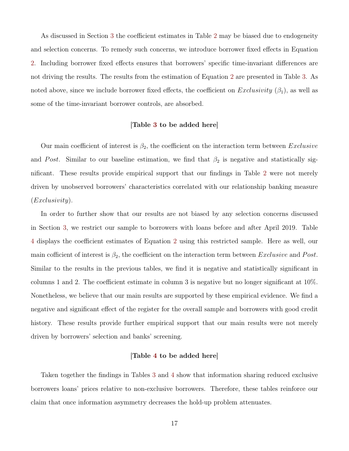As discussed in Section [3](#page-10-0) the coefficient estimates in Table [2](#page-27-0) may be biased due to endogeneity and selection concerns. To remedy such concerns, we introduce borrower fixed effects in Equation [2.](#page-12-0) Including borrower fixed effects ensures that borrowers' specific time-invariant differences are not driving the results. The results from the estimation of Equation [2](#page-12-0) are presented in Table [3.](#page-28-0) As noted above, since we include borrower fixed effects, the coefficient on  $Exclusivity (\beta_1)$ , as well as some of the time-invariant borrower controls, are absorbed.

#### [Table [3](#page-28-0) to be added here]

Our main coefficient of interest is  $\beta_2$ , the coefficient on the interaction term between *Exclusive* and Post. Similar to our baseline estimation, we find that  $\beta_2$  is negative and statistically significant. These results provide empirical support that our findings in Table [2](#page-27-0) were not merely driven by unobserved borrowers' characteristics correlated with our relationship banking measure  $(Exclusivity).$ 

In order to further show that our results are not biased by any selection concerns discussed in Section [3,](#page-10-0) we restrict our sample to borrowers with loans before and after April 2019. Table [4](#page-29-0) displays the coefficient estimates of Equation [2](#page-12-0) using this restricted sample. Here as well, our main cofficient of interest is  $\beta_2$ , the coefficient on the interaction term between *Exclusive* and *Post*. Similar to the results in the previous tables, we find it is negative and statistically significant in columns 1 and 2. The coefficient estimate in column 3 is negative but no longer significant at 10%. Nonetheless, we believe that our main results are supported by these empirical evidence. We find a negative and significant effect of the register for the overall sample and borrowers with good credit history. These results provide further empirical support that our main results were not merely driven by borrowers' selection and banks' screening.

#### [Table [4](#page-29-0) to be added here]

Taken together the findings in Tables [3](#page-28-0) and [4](#page-29-0) show that information sharing reduced exclusive borrowers loans' prices relative to non-exclusive borrowers. Therefore, these tables reinforce our claim that once information asymmetry decreases the hold-up problem attenuates.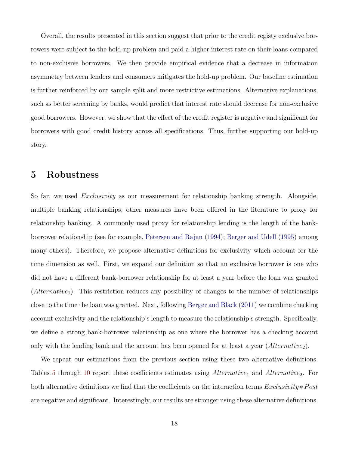Overall, the results presented in this section suggest that prior to the credit registy exclusive borrowers were subject to the hold-up problem and paid a higher interest rate on their loans compared to non-exclusive borrowers. We then provide empirical evidence that a decrease in information asymmetry between lenders and consumers mitigates the hold-up problem. Our baseline estimation is further reinforced by our sample split and more restrictive estimations. Alternative explanations, such as better screening by banks, would predict that interest rate should decrease for non-exclusive good borrowers. However, we show that the effect of the credit register is negative and significant for borrowers with good credit history across all specifications. Thus, further supporting our hold-up story.

### <span id="page-17-0"></span>5 Robustness

So far, we used *Exclusivity* as our measurement for relationship banking strength. Alongside, multiple banking relationships, other measures have been offered in the literature to proxy for relationship banking. A commonly used proxy for relationship lending is the length of the bankborrower relationship (see for example, [Petersen and Rajan](#page-23-5) [\(1994\)](#page-23-5); [Berger and Udell](#page-21-2) [\(1995\)](#page-21-2) among many others). Therefore, we propose alternative definitions for exclusivity which account for the time dimension as well. First, we expand our definition so that an exclusive borrower is one who did not have a different bank-borrower relationship for at least a year before the loan was granted  $(Alternative<sub>1</sub>)$ . This restriction reduces any possibility of changes to the number of relationships close to the time the loan was granted. Next, following [Berger and Black](#page-21-9) [\(2011\)](#page-21-9) we combine checking account exclusivity and the relationship's length to measure the relationship's strength. Specifically, we define a strong bank-borrower relationship as one where the borrower has a checking account only with the lending bank and the account has been opened for at least a year  $(Alternative_2)$ .

We repeat our estimations from the previous section using these two alternative definitions. Tables [5](#page-30-0) through [10](#page-33-0) report these coefficients estimates using  $Alternative_1$  and  $Alternative_2$ . For both alternative definitions we find that the coefficients on the interaction terms  $Exclusivity * Post$ are negative and significant. Interestingly, our results are stronger using these alternative definitions.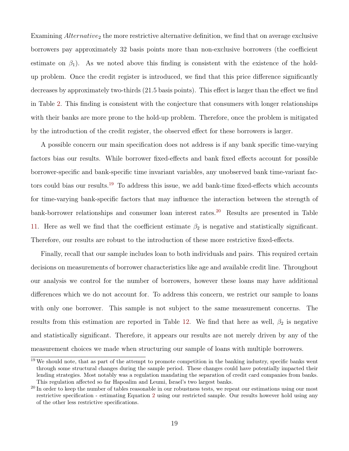Examining  $Alternative<sub>2</sub>$  the more restrictive alternative definition, we find that on average exclusive borrowers pay approximately 32 basis points more than non-exclusive borrowers (the coefficient estimate on  $\beta_1$ ). As we noted above this finding is consistent with the existence of the holdup problem. Once the credit register is introduced, we find that this price difference significantly decreases by approximately two-thirds (21.5 basis points). This effect is larger than the effect we find in Table [2.](#page-27-0) This finding is consistent with the conjecture that consumers with longer relationships with their banks are more prone to the hold-up problem. Therefore, once the problem is mitigated by the introduction of the credit register, the observed effect for these borrowers is larger.

A possible concern our main specification does not address is if any bank specific time-varying factors bias our results. While borrower fixed-effects and bank fixed effects account for possible borrower-specific and bank-specific time invariant variables, any unobserved bank time-variant factors could bias our results.[19](#page-0-0) To address this issue, we add bank-time fixed-effects which accounts for time-varying bank-specific factors that may influence the interaction between the strength of bank-borrower relationships and consumer loan interest rates.<sup>[20](#page-0-0)</sup> Results are presented in Table [11.](#page-34-0) Here as well we find that the coefficient estimate  $\beta_2$  is negative and statistically significant. Therefore, our results are robust to the introduction of these more restrictive fixed-effects.

Finally, recall that our sample includes loan to both individuals and pairs. This required certain decisions on measurements of borrower characteristics like age and available credit line. Throughout our analysis we control for the number of borrowers, however these loans may have additional differences which we do not account for. To address this concern, we restrict our sample to loans with only one borrower. This sample is not subject to the same measurement concerns. The results from this estimation are reported in Table [12.](#page-34-1) We find that here as well,  $\beta_2$  is negative and statistically significant. Therefore, it appears our results are not merely driven by any of the measurement choices we made when structuring our sample of loans with multiple borrowers.

<sup>&</sup>lt;sup>19</sup> We should note, that as part of the attempt to promote competition in the banking industry, specific banks went through some structural changes during the sample period. These changes could have potentially impacted their lending strategies. Most notably was a regulation mandating the separation of credit card companies from banks. This regulation affected so far Hapoalim and Leumi, Israel's two largest banks.

<sup>&</sup>lt;sup>20</sup> In order to keep the number of tables reasonable in our robustness tests, we repeat our estimations using our most restrictive specification - estimating Equation [2](#page-12-0) using our restricted sample. Our results however hold using any of the other less restrictive specifications.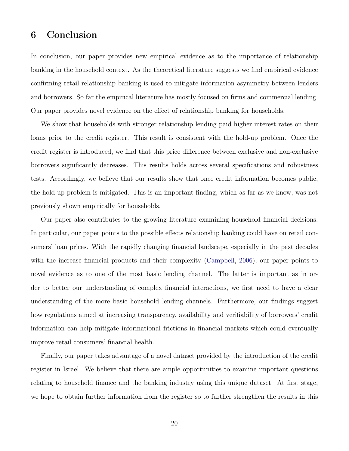## <span id="page-19-0"></span>6 Conclusion

In conclusion, our paper provides new empirical evidence as to the importance of relationship banking in the household context. As the theoretical literature suggests we find empirical evidence confirming retail relationship banking is used to mitigate information asymmetry between lenders and borrowers. So far the empirical literature has mostly focused on firms and commercial lending. Our paper provides novel evidence on the effect of relationship banking for households.

We show that households with stronger relationship lending paid higher interest rates on their loans prior to the credit register. This result is consistent with the hold-up problem. Once the credit register is introduced, we find that this price difference between exclusive and non-exclusive borrowers significantly decreases. This results holds across several specifications and robustness tests. Accordingly, we believe that our results show that once credit information becomes public, the hold-up problem is mitigated. This is an important finding, which as far as we know, was not previously shown empirically for households.

Our paper also contributes to the growing literature examining household financial decisions. In particular, our paper points to the possible effects relationship banking could have on retail consumers' loan prices. With the rapidly changing financial landscape, especially in the past decades with the increase financial products and their complexity [\(Campbell,](#page-22-11) [2006\)](#page-22-11), our paper points to novel evidence as to one of the most basic lending channel. The latter is important as in order to better our understanding of complex financial interactions, we first need to have a clear understanding of the more basic household lending channels. Furthermore, our findings suggest how regulations aimed at increasing transparency, availability and verifiability of borrowers' credit information can help mitigate informational frictions in financial markets which could eventually improve retail consumers' financial health.

Finally, our paper takes advantage of a novel dataset provided by the introduction of the credit register in Israel. We believe that there are ample opportunities to examine important questions relating to household finance and the banking industry using this unique dataset. At first stage, we hope to obtain further information from the register so to further strengthen the results in this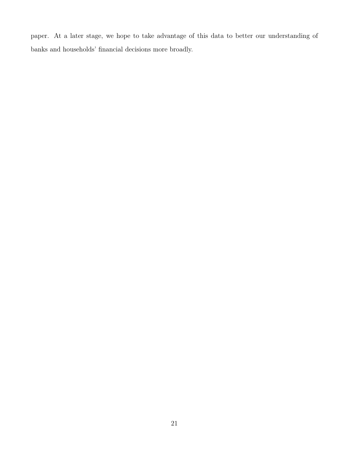paper. At a later stage, we hope to take advantage of this data to better our understanding of banks and households' financial decisions more broadly.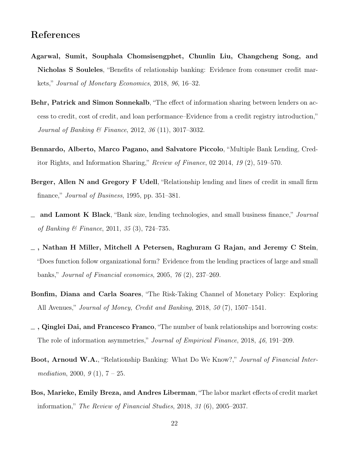### References

- <span id="page-21-3"></span>Agarwal, Sumit, Souphala Chomsisengphet, Chunlin Liu, Changcheng Song, and Nicholas S Souleles, "Benefits of relationship banking: Evidence from consumer credit markets," Journal of Monetary Economics, 2018, 96, 16–32.
- <span id="page-21-6"></span>Behr, Patrick and Simon Sonnekalb, "The effect of information sharing between lenders on access to credit, cost of credit, and loan performance–Evidence from a credit registry introduction," Journal of Banking & Finance, 2012, 36 (11), 3017–3032.
- <span id="page-21-4"></span>Bennardo, Alberto, Marco Pagano, and Salvatore Piccolo, "Multiple Bank Lending, Creditor Rights, and Information Sharing," Review of Finance, 02 2014, 19 (2), 519–570.
- <span id="page-21-2"></span>Berger, Allen N and Gregory F Udell, "Relationship lending and lines of credit in small firm finance," *Journal of Business*, 1995, pp. 351–381.
- <span id="page-21-9"></span>and Lamont K Black, "Bank size, lending technologies, and small business finance," Journal of Banking & Finance, 2011, 35 (3), 724–735.
- <span id="page-21-7"></span>, Nathan H Miller, Mitchell A Petersen, Raghuram G Rajan, and Jeremy C Stein, "Does function follow organizational form? Evidence from the lending practices of large and small banks," Journal of Financial economics, 2005, 76 (2), 237–269.
- <span id="page-21-8"></span>Bonfim, Diana and Carla Soares, "The Risk-Taking Channel of Monetary Policy: Exploring All Avenues," Journal of Money, Credit and Banking, 2018, 50 (7), 1507–1541.
- <span id="page-21-1"></span> $\sim$ , Qinglei Dai, and Francesco Franco, "The number of bank relationships and borrowing costs: The role of information asymmetries," Journal of Empirical Finance, 2018, 46, 191–209.
- <span id="page-21-0"></span>Boot, Arnoud W.A., "Relationship Banking: What Do We Know?," Journal of Financial Intermediation, 2000,  $9(1)$ ,  $7-25$ .
- <span id="page-21-5"></span>Bos, Marieke, Emily Breza, and Andres Liberman, "The labor market effects of credit market information," The Review of Financial Studies, 2018, 31 (6), 2005–2037.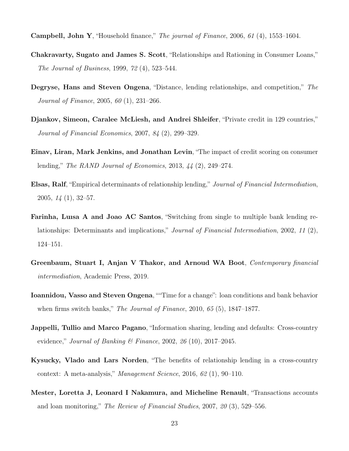<span id="page-22-11"></span>**Campbell, John Y**, "Household finance," *The journal of Finance*, 2006, 61 (4), 1553–1604.

- <span id="page-22-5"></span>Chakravarty, Sugato and James S. Scott, "Relationships and Rationing in Consumer Loans," The Journal of Business, 1999, 72 (4), 523–544.
- <span id="page-22-3"></span>Degryse, Hans and Steven Ongena, "Distance, lending relationships, and competition," The Journal of Finance, 2005, 60 (1), 231–266.
- <span id="page-22-7"></span>Djankov, Simeon, Caralee McLiesh, and Andrei Shleifer, "Private credit in 129 countries," Journal of Financial Economics, 2007, 84 (2), 299–329.
- <span id="page-22-8"></span>Einav, Liran, Mark Jenkins, and Jonathan Levin, "The impact of credit scoring on consumer lending," The RAND Journal of Economics, 2013, 44 (2), 249–274.
- <span id="page-22-10"></span>Elsas, Ralf, "Empirical determinants of relationship lending," Journal of Financial Intermediation, 2005, 14 (1), 32–57.
- <span id="page-22-1"></span>Farinha, Luısa A and Joao AC Santos, "Switching from single to multiple bank lending relationships: Determinants and implications," Journal of Financial Intermediation, 2002, 11 (2), 124–151.
- <span id="page-22-0"></span>Greenbaum, Stuart I, Anjan V Thakor, and Arnoud WA Boot, Contemporary financial intermediation, Academic Press, 2019.
- <span id="page-22-2"></span>Ioannidou, Vasso and Steven Ongena, ""Time for a change": loan conditions and bank behavior when firms switch banks," *The Journal of Finance*, 2010, 65 (5), 1847–1877.
- <span id="page-22-6"></span>**Jappelli, Tullio and Marco Pagano**, "Information sharing, lending and defaults: Cross-country evidence," Journal of Banking & Finance, 2002,  $26(10)$ , 2017–2045.
- <span id="page-22-4"></span>Kysucky, Vlado and Lars Norden, "The benefits of relationship lending in a cross-country context: A meta-analysis," Management Science, 2016, 62 (1), 90–110.
- <span id="page-22-9"></span>Mester, Loretta J, Leonard I Nakamura, and Micheline Renault, "Transactions accounts and loan monitoring," The Review of Financial Studies, 2007, 20 (3), 529–556.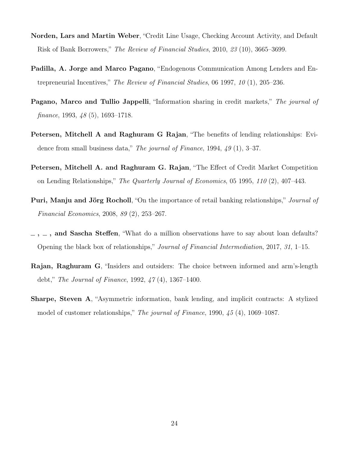- <span id="page-23-8"></span>Norden, Lars and Martin Weber, "Credit Line Usage, Checking Account Activity, and Default Risk of Bank Borrowers," The Review of Financial Studies, 2010, 23 (10), 3665–3699.
- <span id="page-23-7"></span>Padilla, A. Jorge and Marco Pagano, "Endogenous Communication Among Lenders and Entrepreneurial Incentives," The Review of Financial Studies, 06 1997, 10 (1), 205–236.
- <span id="page-23-6"></span>Pagano, Marco and Tullio Jappelli, "Information sharing in credit markets," The journal of finance, 1993, 48 (5), 1693–1718.
- <span id="page-23-5"></span>Petersen, Mitchell A and Raghuram G Rajan, "The benefits of lending relationships: Evidence from small business data," The journal of Finance, 1994, 49 (1), 3-37.
- <span id="page-23-1"></span>Petersen, Mitchell A. and Raghuram G. Rajan, "The Effect of Credit Market Competition on Lending Relationships," The Quarterly Journal of Economics, 05 1995, 110 (2), 407–443.
- <span id="page-23-0"></span>Puri, Manju and Jörg Rocholl, "On the importance of retail banking relationships," Journal of Financial Economics, 2008, 89 (2), 253–267.
- <span id="page-23-2"></span> $\ldots$ ,  $\ldots$ , and Sascha Steffen, "What do a million observations have to say about loan defaults? Opening the black box of relationships," Journal of Financial Intermediation, 2017, 31, 1–15.
- <span id="page-23-4"></span>Rajan, Raghuram G, "Insiders and outsiders: The choice between informed and arm's-length debt," The Journal of Finance, 1992, 47 (4), 1367–1400.
- <span id="page-23-3"></span>Sharpe, Steven A, "Asymmetric information, bank lending, and implicit contracts: A stylized model of customer relationships," The journal of Finance, 1990, 45 (4), 1069–1087.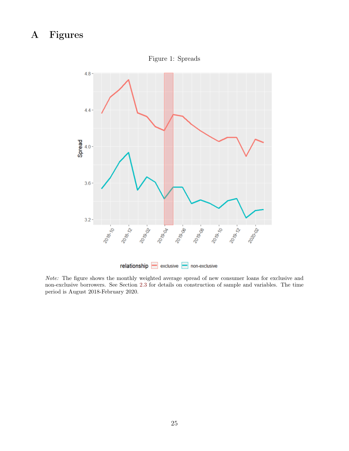# <span id="page-24-0"></span>A Figures



Figure 1: Spreads

Note: The figure shows the monthly weighted average spread of new consumer loans for exclusive and non-exclusive borrowers. See Section [2.3](#page-6-0) for details on construction of sample and variables. The time period is August 2018-February 2020.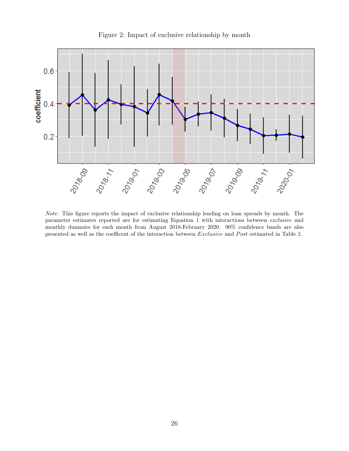<span id="page-25-0"></span>

Figure 2: Impact of exclusive relationship by month

Note: This figure reports the impact of exclusive relationship lending on loan spreads by month. The parameter estimates reported are for estimating Equation [1](#page-10-1) with interactions between exclusive and monthly dummies for each month from August 2018-February 2020. 90% confidence bands are also presented as well as the coefficent of the interaction between Exclusive and Post estimated in Table [2.](#page-27-0)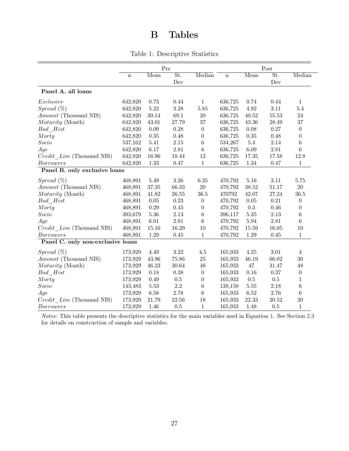# B Tables

|  | Table 1: Descriptive Statistics |  |
|--|---------------------------------|--|
|--|---------------------------------|--|

<span id="page-26-0"></span>

|                                   | Pre     |          |           | Post             |             |           |           |                  |
|-----------------------------------|---------|----------|-----------|------------------|-------------|-----------|-----------|------------------|
|                                   | $\bf n$ | Mean     | St.       | Median           | $\mathbf n$ | Mean      | St.       | Median           |
|                                   |         |          | Dev       |                  |             |           | Dev       |                  |
| Panel A. all loans                |         |          |           |                  |             |           |           |                  |
| Exclusive                         | 642,820 | 0.73     | 0.44      | $\mathbf{1}$     | 636,725     | 0.74      | 0.44      | $\mathbf{1}$     |
| $S$ <i>pread</i> $(\%)$           | 642,820 | 5.22     | $3.28\,$  | 5.85             | 636,725     | 4.92      | 3.11      | 5.4              |
| Amount (Thousand NIS)             | 642,820 | 39.14    | 69.1      | $20\,$           | 636,725     | 40.52     | 55.53     | 24               |
| Maturity (Month)                  | 642,820 | 43.01    | 27.79     | $37\,$           | 636,725     | 43.36     | 28.49     | $37\,$           |
| Bad Hist                          | 642,820 | $0.09\,$ | 0.28      | $\boldsymbol{0}$ | 636,725     | 0.08      | 0.27      | $\boldsymbol{0}$ |
| Mortg                             | 642,820 | 0.35     | 0.48      | $\boldsymbol{0}$ | 636,725     | 0.35      | 0.48      | $\theta$         |
| Socio                             | 537,162 | 5.41     | 2.15      | $\,6\,$          | 534,267     | $5.4\,$   | 2.14      | $\,6$            |
| Age                               | 642,820 | 6.17     | 2.81      | $\,6\,$          | 636,725     | 6.09      | $2.81\,$  | $\,6$            |
| $Credit$ $Lim$ (Thousand NIS)     | 642,820 | 16.96    | 18.44     | 12               | 636,725     | 17.35     | 17.58     | 12.8             |
| <b>Borrowers</b>                  | 642,820 | 1.33     | 0.47      | $\mathbf{1}$     | 636,725     | 1.34      | 0.47      | 1                |
| Panel B. only exclusive loans     |         |          |           |                  |             |           |           |                  |
| $Spread \ (\%)$                   | 468,891 | 5.49     | $3.26\,$  | 6.35             | 470,792     | 5.16      | $3.11\,$  | 5.75             |
| Amount (Thousand NIS)             | 468,891 | 37.35    | 66.33     | $20\,$           | 470,792     | $38.52\,$ | $51.17\,$ | $20\,$           |
| Maturity (Month)                  | 468,891 | 41.82    | $26.55\,$ | 36.5             | 470792      | 42.07     | 27.24     | 36.5             |
| $Bad\ \ Hist$                     | 468,891 | $0.05\,$ | 0.23      | $\boldsymbol{0}$ | 470,792     | 0.05      | 0.21      | $\boldsymbol{0}$ |
| Mortg                             | 468,891 | 0.29     | 0.45      | $\boldsymbol{0}$ | 470,792     | $\rm 0.3$ | 0.46      | $\boldsymbol{0}$ |
| $Socio$                           | 393,679 | $5.36\,$ | $2.13\,$  | $\,6\,$          | 396,117     | $5.35\,$  | 2.13      | $\,6$            |
| Age                               | 468,891 | $6.01\,$ | 2.81      | $\,6\,$          | 470,792     | 5.94      | $2.81\,$  | $\,6$            |
| $Credit$ $Lim$ (Thousand NIS)     | 468,891 | 15.16    | 16.29     | 10               | 470,792     | 15.59     | 16.05     | 10               |
| <b>Borrowers</b>                  | 468,891 | 1.29     | 0.45      | $\mathbf{1}$     | 470,792     | 1.29      | 0.45      | $\mathbf{1}$     |
| Panel C. only non-exclusive loans |         |          |           |                  |             |           |           |                  |
| $S$ <i>pread</i> $(\%)$           | 173,929 | 4.49     | $3.22\,$  | $4.5\,$          | 165,933     | $4.25\,$  | $3.01\,$  | 4                |
| Amount (Thousand NIS)             | 173,929 | 43.96    | 75.86     | 25               | 165,933     | 46.19     | 66.02     | $30\,$           |
| Maturity (Month)                  | 173,929 | 46.23    | 30.64     | 48               | 165,933     | $47\,$    | 31.47     | 48               |
| $Bad\ \ Hist$                     | 173,929 | 0.18     | 0.38      | $\boldsymbol{0}$ | 165,933     | 0.16      | 0.37      | $\boldsymbol{0}$ |
| Mortg                             | 173,929 | 0.49     | $0.5\,$   | $\boldsymbol{0}$ | 165,933     | $0.5\,$   | $0.5\,$   | $\mathbf 1$      |
| Socio                             | 143,483 | 5.53     | 2.2       | $\,6\,$          | 138,150     | $5.55\,$  | 2.18      | $\,6$            |
| Age                               | 173,929 | 6.58     | 2.78      | 6                | 165,933     | 6.52      | 2.76      | 6                |
| $Credit$ $Lim$ (Thousand NIS)     | 173,929 | 21.79    | 22.56     | 18               | 165,933     | 22.33     | 20.52     | 20               |
| <b>Borrowers</b>                  | 173,929 | 1.46     | 0.5       | $\mathbf{1}$     | 165,933     | 1.48      | $0.5\,$   | $\mathbf{1}$     |

Notes: This table presents the descriptive statistics for the main variables used in Equation [1.](#page-10-1) See Section [2.3](#page-6-0) for details on construction of sample and variables.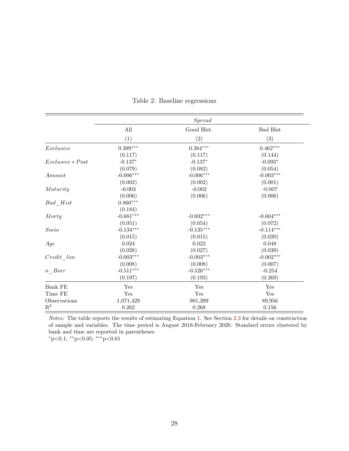<span id="page-27-0"></span>

|                    | <i>Spread</i> |             |                 |  |  |
|--------------------|---------------|-------------|-----------------|--|--|
|                    | All           | Good Hist.  | <b>Bad Hist</b> |  |  |
|                    | (1)           | (2)         | (3)             |  |  |
| Exclusive          | $0.399***$    | $0.384***$  | $0.462***$      |  |  |
|                    | (0.117)       | (0.117)     | (0.144)         |  |  |
| $Exclusive * Post$ | $-0.137*$     | $-0.137*$   | $-0.093*$       |  |  |
|                    | (0.079)       | (0.082)     | (0.054)         |  |  |
| Amount             | $-0.006***$   | $-0.006***$ | $-0.003***$     |  |  |
|                    | (0.002)       | (0.002)     | (0.001)         |  |  |
| Maturity           | $-0.003$      | $-0.002$    | $-0.007$        |  |  |
|                    | (0.006)       | (0.006)     | (0.006)         |  |  |
| Bad Hist           | $0.860***$    |             |                 |  |  |
|                    | (0.184)       |             |                 |  |  |
| Mortg              | $-0.681***$   | $-0.692***$ | $-0.604***$     |  |  |
|                    | (0.051)       | (0.054)     | (0.072)         |  |  |
| $Socio$            | $-0.134***$   | $-0.135***$ | $-0.114***$     |  |  |
|                    | (0.015)       | (0.015)     | (0.020)         |  |  |
| Age                | 0.024         | 0.022       | 0.048           |  |  |
|                    | (0.028)       | (0.027)     | (0.039)         |  |  |
| Credit lim         | $-0.003***$   | $-0.003***$ | $-0.002***$     |  |  |
|                    | (0.008)       | (0.008)     | (0.007)         |  |  |
| $n\_Borr$          | $-0.511***$   | $-0.526***$ | $-0.254$        |  |  |
|                    | (0.197)       | (0.193)     | (0.269)         |  |  |
| <b>Bank FE</b>     | Yes           | Yes         | Yes             |  |  |
| Time FE            | Yes           | Yes         | Yes             |  |  |
| Observations       | 1,071,429     | 981,399     | 89,956          |  |  |
| $\mathbf{R}^2$     | 0.262         | 0.268       | 0.156           |  |  |

Table 2: Baseline regressions

Notes: The table reports the results of estimating Equation [1.](#page-10-1) See Section [2.3](#page-6-0) for details on construction of sample and variables. The time period is August 2018-February 2020. Standard errors clustered by bank and time are reported in parentheses.

 $*p<0.1$ ;  $*p<0.05$ ;  $**p<0.01$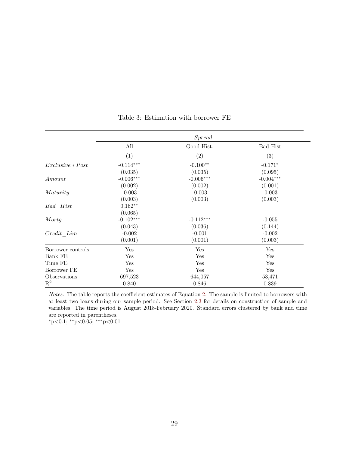<span id="page-28-0"></span>

|                    | <i>Spread</i> |                   |             |
|--------------------|---------------|-------------------|-------------|
|                    | All           | Good Hist.        | Bad Hist    |
|                    | (1)           | $\left( 2\right)$ | (3)         |
| $Exclusive * Post$ | $-0.114***$   | $-0.100**$        | $-0.171*$   |
|                    | (0.035)       | (0.035)           | (0.095)     |
| Amount             | $-0.006***$   | $-0.006***$       | $-0.004***$ |
|                    | (0.002)       | (0.002)           | (0.001)     |
| Maturity           | $-0.003$      | $-0.003$          | $-0.003$    |
|                    | (0.003)       | (0.003)           | (0.003)     |
| Bad Hist           | $0.162**$     |                   |             |
|                    | (0.065)       |                   |             |
| Mortg              | $-0.102***$   | $-0.112***$       | $-0.055$    |
|                    | (0.043)       | (0.036)           | (0.144)     |
| Credit Lim         | $-0.002$      | $-0.001$          | $-0.002$    |
|                    | (0.001)       | (0.001)           | (0.003)     |
| Borrower controls  | Yes           | Yes               | Yes         |
| Bank FE            | Yes           | Yes               | Yes         |
| Time FE            | $_{\rm Yes}$  | Yes               | Yes         |
| Borrower FE        | Yes           | Yes               | Yes         |
| Observations       | 697,523       | 644,057           | 53,471      |
| $\mathbf{R}^2$     | 0.840         | 0.846             | 0.839       |

Table 3: Estimation with borrower FE

Notes: The table reports the coefficient estimates of Equation [2.](#page-12-0) The sample is limited to borrowers with at least two loans during our sample period. See Section [2.3](#page-6-0) for details on construction of sample and variables. The time period is August 2018-February 2020. Standard errors clustered by bank and time are reported in parentheses.

<sup>∗</sup>p<0.1; ∗∗p<0.05; ∗∗∗p<0.01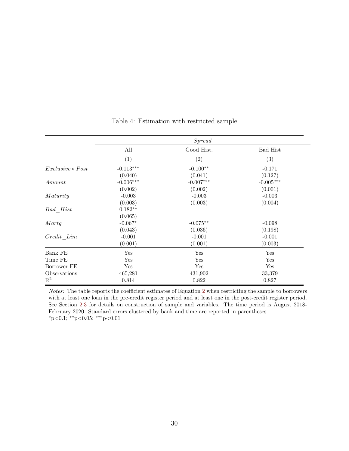<span id="page-29-0"></span>

|                    | <i>Spread</i> |             |             |  |
|--------------------|---------------|-------------|-------------|--|
|                    | All           | Good Hist.  | Bad Hist    |  |
|                    | (1)           | (2)         | (3)         |  |
| $Exclusive * Post$ | $-0.113***$   | $-0.100**$  | $-0.171$    |  |
|                    | (0.040)       | (0.041)     | (0.127)     |  |
| Amount             | $-0.006***$   | $-0.007***$ | $-0.005***$ |  |
|                    | (0.002)       | (0.002)     | (0.001)     |  |
| Maturity           | $-0.003$      | $-0.003$    | $-0.003$    |  |
|                    | (0.003)       | (0.003)     | (0.004)     |  |
| Bad Hist           | $0.182**$     |             |             |  |
|                    | (0.065)       |             |             |  |
| Mortg              | $-0.067*$     | $-0.075**$  | $-0.098$    |  |
|                    | (0.043)       | (0.036)     | (0.198)     |  |
| Credit Lim         | $-0.001$      | $-0.001$    | $-0.001$    |  |
|                    | (0.001)       | (0.001)     | (0.003)     |  |
| Bank FE            | Yes           | Yes         | Yes         |  |
| Time FE            | Yes           | Yes         | Yes         |  |
| Borrower FE        | Yes           | Yes         | Yes         |  |
| Observations       | 465,281       | 431,902     | 33,379      |  |
| $\mathbf{R}^2$     | 0.814         | 0.822       | 0.827       |  |

#### Table 4: Estimation with restricted sample

Notes: The table reports the coefficient estimates of Equation [2](#page-12-0) when restricting the sample to borrowers with at least one loan in the pre-credit register period and at least one in the post-credit register period. See Section [2.3](#page-6-0) for details on construction of sample and variables. The time period is August 2018- February 2020. Standard errors clustered by bank and time are reported in parentheses.  $*p<0.1; **p<0.05; **p<0.01$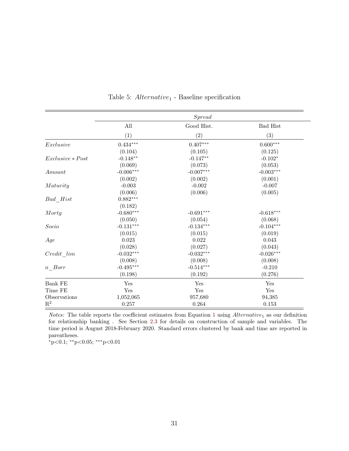<span id="page-30-0"></span>

|                    | <i>Spread</i>          |             |                 |  |
|--------------------|------------------------|-------------|-----------------|--|
|                    | All                    | Good Hist.  | <b>Bad Hist</b> |  |
|                    | (1)                    | (2)         | (3)             |  |
| Exclusive          | $0.434^{\ast\ast\ast}$ | $0.407***$  | $0.600***$      |  |
|                    | (0.104)                | (0.105)     | (0.125)         |  |
| $Exclusive * Post$ | $-0.148**$             | $-0.147**$  | $-0.102*$       |  |
|                    | (0.069)                | (0.073)     | (0.053)         |  |
| Amount             | $-0.006***$            | $-0.007***$ | $-0.003***$     |  |
|                    | (0.002)                | (0.002)     | (0.001)         |  |
| Maturity           | $-0.003$               | $-0.002$    | $-0.007$        |  |
|                    | (0.006)                | (0.006)     | (0.005)         |  |
| Bad Hist           | $0.882***$             |             |                 |  |
|                    | (0.182)                |             |                 |  |
| Mortg              | $-0.680***$            | $-0.691***$ | $-0.618***$     |  |
|                    | (0.050)                | (0.054)     | (0.068)         |  |
| Socio              | $-0.131***$            | $-0.134***$ | $-0.104***$     |  |
|                    | (0.015)                | (0.015)     | (0.019)         |  |
| Age                | 0.023                  | 0.022       | 0.043           |  |
|                    | (0.028)                | (0.027)     | (0.043)         |  |
| Credit lim         | $-0.032***$            | $-0.032***$ | $-0.026***$     |  |
|                    | (0.008)                | (0.008)     | (0.008)         |  |
| $n\_Borr$          | $-0.495***$            | $-0.514***$ | $-0.210$        |  |
|                    | (0.198)                | (0.192)     | (0.276)         |  |
| Bank FE            | Yes                    | Yes         | Yes             |  |
| Time FE            | Yes                    | Yes         | Yes             |  |
| Observations       | 1,052,065              | 957,680     | 94,385          |  |
| $\mathbf{R}^2$     | 0.257                  | 0.264       | $0.153\,$       |  |

Table 5:  $Alternative_1$  - Baseline specification

Notes: The table reports the coefficient estimates from Equation [1](#page-10-1) using  $Alternative_1$  as our definition for relationship banking . See Section [2.3](#page-6-0) for details on construction of sample and variables. The time period is August 2018-February 2020. Standard errors clustered by bank and time are reported in parentheses.

 $\rm*_p$  < 0.1;  $\rm*_p$  < 0.05;  $\rm_***$  p < 0.01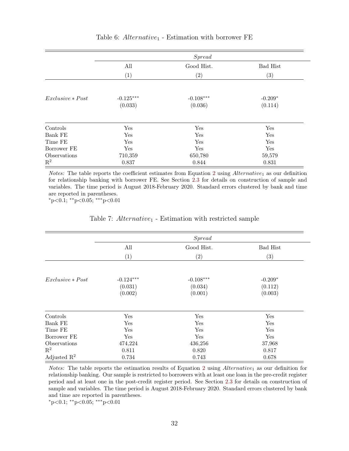|                    | <i>Spread</i>          |                        |                      |  |  |
|--------------------|------------------------|------------------------|----------------------|--|--|
|                    | All                    | Good Hist.             | <b>Bad Hist</b>      |  |  |
|                    | (1)                    | $\left( 2\right)$      | $\left( 3\right)$    |  |  |
| $Exclusive * Post$ | $-0.125***$<br>(0.033) | $-0.108***$<br>(0.036) | $-0.209*$<br>(0.114) |  |  |
| Controls           | Yes                    | Yes                    | Yes                  |  |  |
| Bank FE            | Yes                    | Yes                    | Yes                  |  |  |
| Time FE            | Yes                    | Yes                    | Yes                  |  |  |
| Borrower FE        | Yes                    | Yes                    | Yes                  |  |  |
| Observations       | 710,359                | 650,780                | 59,579               |  |  |
| $\mathbf{R}^2$     | 0.837                  | 0.844                  | 0.831                |  |  |

#### Table 6:  $Alternative_1$  - Estimation with borrower FE

*Notes:* The table reports the coefficient estimates from Equation [2](#page-12-0) using  $Alternative_1$  as our definition for relationship banking with borrower FE. See Section [2.3](#page-6-0) for details on construction of sample and variables. The time period is August 2018-February 2020. Standard errors clustered by bank and time are reported in parentheses.

<sup>∗</sup>p<0.1; ∗∗p<0.05; ∗∗∗p<0.01

|  | Table 7: Alternative <sub>1</sub> - Estimation with restricted sample |  |
|--|-----------------------------------------------------------------------|--|
|  |                                                                       |  |

|                         |                    | <i>Spread</i>      |                    |
|-------------------------|--------------------|--------------------|--------------------|
|                         | All                | Good Hist.         | <b>Bad Hist</b>    |
|                         | (1)                | (2)                | (3)                |
| $Exclusive * Post$      | $-0.124***$        | $-0.108***$        | $-0.209*$          |
|                         | (0.031)<br>(0.002) | (0.034)<br>(0.001) | (0.112)<br>(0.003) |
|                         |                    |                    |                    |
| Controls                | Yes                | Yes                | Yes                |
| Bank FE                 | Yes                | Yes                | Yes                |
| Time FE                 | Yes                | Yes                | Yes                |
| Borrower FE             | Yes                | Yes                | Yes                |
| Observations            | 474,224            | 436,256            | 37,968             |
| $\mathbf{R}^2$          | 0.811              | 0.820              | 0.817              |
| Adjusted $\mathbb{R}^2$ | 0.734              | 0.743              | 0.678              |

*Notes:* The table reports the estimation results of Equation [2](#page-12-0) using  $Alternative_1$  as our definition for relationship banking. Our sample is restricted to borrowers with at least one loan in the pre-credit register period and at least one in the post-credit register period. See Section [2.3](#page-6-0) for details on construction of sample and variables. The time period is August 2018-February 2020. Standard errors clustered by bank and time are reported in parentheses.

<sup>∗</sup>p<0.1; ∗∗p<0.05; ∗∗∗p<0.01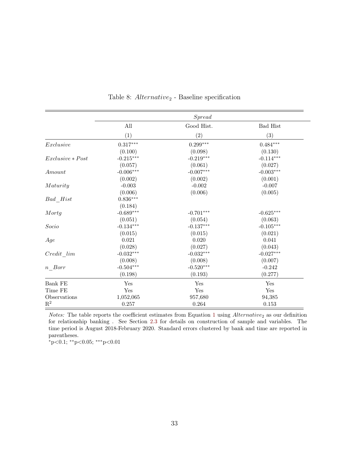|                    | <i>Spread</i>          |                   |                 |  |
|--------------------|------------------------|-------------------|-----------------|--|
|                    | All                    | Good Hist.        | <b>Bad Hist</b> |  |
|                    | (1)                    | $\left( 2\right)$ | (3)             |  |
| Exclusive          | $0.317^{\ast\ast\ast}$ | $0.299***$        | $0.484***$      |  |
|                    | (0.100)                | (0.098)           | (0.130)         |  |
| $Exclusive * Post$ | $-0.215***$            | $-0.219***$       | $-0.114***$     |  |
|                    | (0.057)                | (0.061)           | (0.027)         |  |
| Amount             | $-0.006***$            | $-0.007***$       | $-0.003***$     |  |
|                    | (0.002)                | (0.002)           | (0.001)         |  |
| Maturity           | $-0.003$               | $-0.002$          | $-0.007$        |  |
|                    | (0.006)                | (0.006)           | (0.005)         |  |
| Bad Hist           | $0.836***$             |                   |                 |  |
|                    | (0.184)                |                   |                 |  |
| Mortg              | $-0.689***$            | $-0.701***$       | $-0.625***$     |  |
|                    | (0.051)                | (0.054)           | (0.063)         |  |
| Socio              | $-0.134***$            | $-0.137***$       | $-0.105***$     |  |
|                    | (0.015)                | (0.015)           | (0.021)         |  |
| Age                | $\,0.021\,$            | 0.020             | 0.041           |  |
|                    | (0.028)                | (0.027)           | (0.043)         |  |
| Credit lim         | $-0.032***$            | $-0.032***$       | $-0.027***$     |  |
|                    | (0.008)                | (0.008)           | (0.007)         |  |
| $n\_Borr$          | $-0.504***$            | $-0.520***$       | $-0.242$        |  |
|                    | (0.198)                | (0.193)           | (0.277)         |  |
| <b>Bank FE</b>     | Yes                    | Yes               | Yes             |  |
| Time FE            | Yes                    | Yes               | Yes             |  |
| Observations       | 1,052,065              | 957,680           | 94,385          |  |
| $\mathbf{R}^2$     | 0.257                  | 0.264             | $0.153\,$       |  |

Table 8:  $Alternative<sub>2</sub>$  - Baseline specification

*Notes:* The table reports the coefficient estimates from Equation [1](#page-10-1) using  $Alternative_2$  as our definition for relationship banking . See Section [2.3](#page-6-0) for details on construction of sample and variables. The time period is August 2018-February 2020. Standard errors clustered by bank and time are reported in parentheses.

 $\rm*_p$  < 0.1;  $\rm*_p$  < 0.05;  $\rm_***$  p < 0.01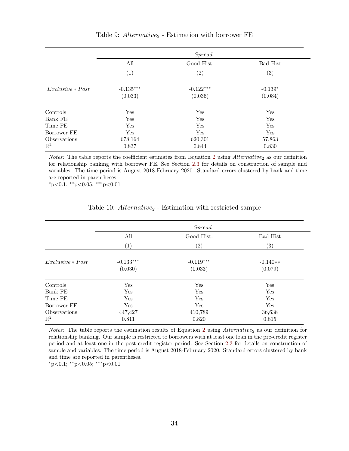|                    | <i>Spread</i>          |                        |                      |  |  |
|--------------------|------------------------|------------------------|----------------------|--|--|
|                    | All                    | Good Hist.             | <b>Bad Hist</b>      |  |  |
|                    | $\left(1\right)$       | $\left( 2\right)$      | $\left( 3\right)$    |  |  |
| $Exclusive * Post$ | $-0.135***$<br>(0.033) | $-0.122***$<br>(0.036) | $-0.139*$<br>(0.084) |  |  |
| Controls           | Yes                    | Yes                    | Yes                  |  |  |
| Bank FE            | Yes                    | Yes                    | Yes                  |  |  |
| Time FE            | Yes                    | Yes                    | Yes                  |  |  |
| Borrower FE        | Yes                    | Yes                    | Yes                  |  |  |
| Observations       | 678,164                | 620,301                | 57,863               |  |  |
| $\mathrm{R}^2$     | 0.837                  | 0.844                  | 0.830                |  |  |

#### Table 9:  $Alternative_2$  - Estimation with borrower FE

*Notes:* The table reports the coefficient estimates from Equation [2](#page-12-0) using  $Alternative_2$  as our definition for relationship banking with borrower FE. See Section [2.3](#page-6-0) for details on construction of sample and variables. The time period is August 2018-February 2020. Standard errors clustered by bank and time are reported in parentheses.

 $*p<0.1$ ;  $*p<0.05$ ;  $**p<0.01$ 

<span id="page-33-0"></span>

|                    | Spread                 |                        |                       |  |  |
|--------------------|------------------------|------------------------|-----------------------|--|--|
|                    | All                    | Good Hist.             | <b>Bad Hist</b>       |  |  |
|                    | (1)                    | (2)                    | (3)                   |  |  |
| $Exclusive * Post$ | $-0.133***$<br>(0.030) | $-0.119***$<br>(0.033) | $-0.140**$<br>(0.079) |  |  |
| Controls           | Yes                    | Yes                    | Yes                   |  |  |
| Bank FE            | Yes                    | Yes                    | Yes                   |  |  |
| Time FE            | Yes                    | Yes                    | Yes                   |  |  |
| Borrower FE        | Yes                    | Yes                    | Yes                   |  |  |
| Observations       | 447,427                | 410,789                | 36,638                |  |  |
| $\mathbf{R}^2$     | 0.811                  | 0.820                  | 0.815                 |  |  |

#### Table 10:  $Alternative_2$  - Estimation with restricted sample

*Notes:* The table reports the estimation results of Equation [2](#page-12-0) using  $Alternative<sub>2</sub>$  as our definition for relationship banking. Our sample is restricted to borrowers with at least one loan in the pre-credit register period and at least one in the post-credit register period. See Section [2.3](#page-6-0) for details on construction of sample and variables. The time period is August 2018-February 2020. Standard errors clustered by bank and time are reported in parentheses.

<sup>∗</sup>p<0.1; ∗∗p<0.05; ∗∗∗p<0.01